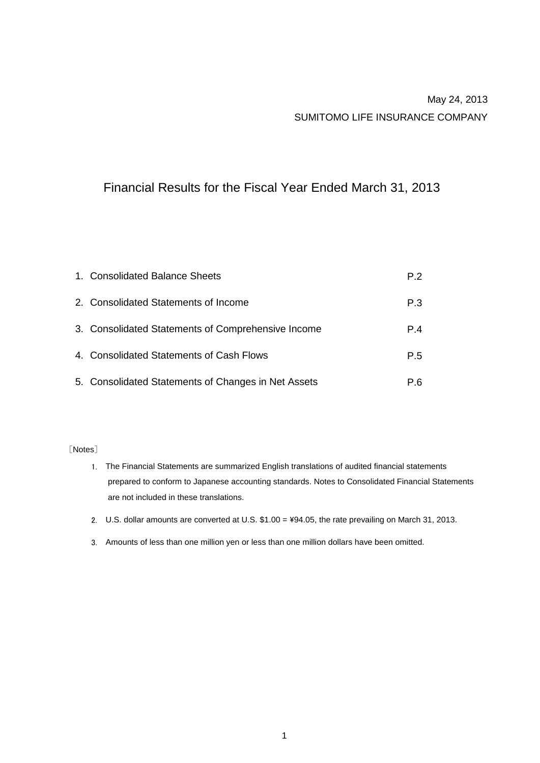# May 24, 2013 SUMITOMO LIFE INSURANCE COMPANY

# Financial Results for the Fiscal Year Ended March 31, 2013

| 1. Consolidated Balance Sheets                      | P.2 |
|-----------------------------------------------------|-----|
| 2. Consolidated Statements of Income                | P.3 |
| 3. Consolidated Statements of Comprehensive Income  | P.4 |
| 4. Consolidated Statements of Cash Flows            | P.5 |
| 5. Consolidated Statements of Changes in Net Assets | P.6 |

### [Notes]

- 1. The Financial Statements are summarized English translations of audited financial statements are not included in these translations. prepared to conform to Japanese accounting standards. Notes to Consolidated Financial Statements
- 2. U.S. dollar amounts are converted at U.S. \$1.00 = ¥94.05, the rate prevailing on March 31, 2013.
- 3. Amounts of less than one million yen or less than one million dollars have been omitted.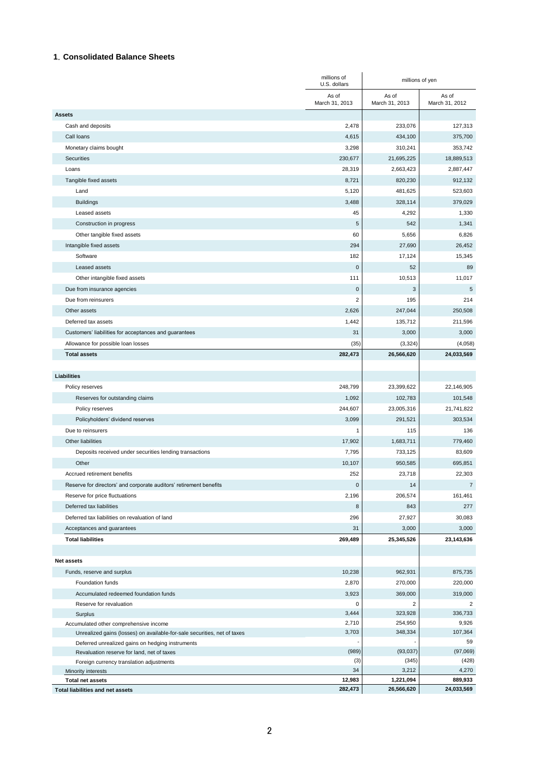### **1**.**Consolidated Balance Sheets**

|                                                                          | millions of<br>U.S. dollars | millions of yen           |                           |
|--------------------------------------------------------------------------|-----------------------------|---------------------------|---------------------------|
|                                                                          | As of<br>March 31, 2013     | As of<br>March 31, 2013   | As of<br>March 31, 2012   |
| <b>Assets</b>                                                            |                             |                           |                           |
| Cash and deposits                                                        | 2,478                       | 233,076                   | 127,313                   |
| Call loans                                                               | 4,615                       | 434,100                   | 375,700                   |
| Monetary claims bought                                                   | 3,298                       | 310,241                   | 353,742                   |
| Securities                                                               | 230,677                     | 21,695,225                | 18,889,513                |
| Loans                                                                    | 28,319                      | 2,663,423                 | 2,887,447                 |
| Tangible fixed assets                                                    | 8,721                       | 820,230                   | 912,132                   |
| Land                                                                     | 5,120                       | 481,625                   | 523,603                   |
| <b>Buildings</b>                                                         | 3,488                       | 328,114                   | 379,029                   |
| Leased assets                                                            | 45                          | 4,292                     | 1,330                     |
| Construction in progress                                                 | $\,$ 5 $\,$                 | 542                       | 1,341                     |
| Other tangible fixed assets                                              | 60                          | 5,656                     | 6,826                     |
| Intangible fixed assets                                                  | 294                         | 27,690                    | 26,452                    |
| Software                                                                 | 182                         | 17,124                    | 15,345                    |
| Leased assets                                                            | $\mathbf 0$                 | 52                        | 89                        |
| Other intangible fixed assets                                            | 111                         | 10,513                    | 11,017                    |
| Due from insurance agencies                                              | $\mathsf 0$                 | 3                         | 5                         |
| Due from reinsurers                                                      | $\overline{2}$              | 195                       | 214                       |
| Other assets                                                             | 2,626                       | 247,044                   | 250,508                   |
| Deferred tax assets                                                      | 1,442                       | 135.712                   | 211,596                   |
| Customers' liabilities for acceptances and guarantees                    | 31                          | 3,000                     | 3,000                     |
| Allowance for possible loan losses                                       | (35)                        | (3, 324)                  | (4,058)                   |
| <b>Total assets</b>                                                      | 282,473                     | 26,566,620                | 24,033,569                |
| <b>Liabilities</b>                                                       |                             |                           |                           |
| Policy reserves                                                          | 248,799                     | 23,399,622                | 22,146,905                |
| Reserves for outstanding claims                                          | 1,092                       | 102,783                   | 101,548                   |
| Policy reserves                                                          | 244,607                     | 23,005,316                | 21,741,822                |
| Policyholders' dividend reserves                                         | 3,099                       | 291,521                   | 303,534                   |
| Due to reinsurers                                                        | 1                           | 115                       | 136                       |
| Other liabilities                                                        | 17,902                      | 1,683,711                 | 779,460                   |
| Deposits received under securities lending transactions                  | 7,795                       | 733,125                   | 83,609                    |
| Other                                                                    | 10,107                      | 950,585                   | 695,851                   |
| Accrued retirement benefits                                              | 252                         | 23,718                    | 22,303                    |
| Reserve for directors' and corporate auditors' retirement benefits       | $\pmb{0}$                   | 14                        | $\overline{7}$            |
| Reserve for price fluctuations                                           | 2,196                       | 206,574                   | 161,461                   |
| Deferred tax liabilities                                                 | 8                           | 843                       | 277                       |
| Deferred tax liabilities on revaluation of land                          | 296                         | 27,927                    | 30,083                    |
| Acceptances and guarantees                                               | 31                          | 3,000                     | 3,000                     |
| <b>Total liabilities</b>                                                 | 269,489                     | 25,345,526                | 23,143,636                |
|                                                                          |                             |                           |                           |
| <b>Net assets</b>                                                        |                             |                           |                           |
| Funds, reserve and surplus                                               | 10,238                      | 962,931                   | 875,735                   |
| Foundation funds                                                         | 2,870                       | 270,000                   | 220,000                   |
| Accumulated redeemed foundation funds<br>Reserve for revaluation         | 3,923<br>0                  | 369,000<br>$\overline{c}$ | 319,000<br>$\overline{c}$ |
| Surplus                                                                  | 3,444                       | 323,928                   | 336,733                   |
| Accumulated other comprehensive income                                   | 2,710                       | 254,950                   | 9,926                     |
| Unrealized gains (losses) on available-for-sale securities, net of taxes | 3,703                       | 348,334                   | 107,364                   |
| Deferred unrealized gains on hedging instruments                         |                             |                           | 59                        |
| Revaluation reserve for land, net of taxes                               | (989)                       | (93, 037)                 | (97,069)                  |
| Foreign currency translation adjustments                                 | (3)                         | (345)                     | (428)                     |
| Minority interests                                                       | 34<br>12,983                | 3,212<br>1,221,094        | 4,270<br>889,933          |
| <b>Total net assets</b><br>Total liabilities and net assets              | 282,473                     | 26,566,620                | 24,033,569                |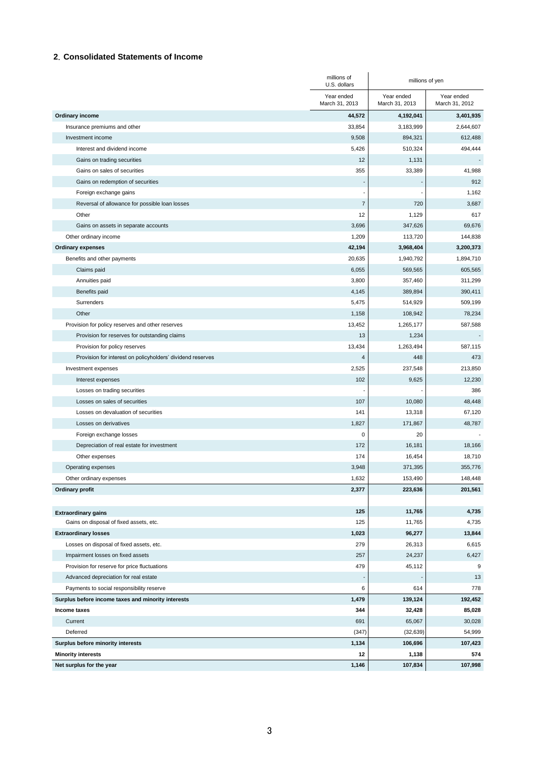### **2**.**Consolidated Statements of Income**

|                                                            | millions of<br>U.S. dollars  | millions of yen              |                              |
|------------------------------------------------------------|------------------------------|------------------------------|------------------------------|
|                                                            | Year ended<br>March 31, 2013 | Year ended<br>March 31, 2013 | Year ended<br>March 31, 2012 |
| Ordinary income                                            | 44,572                       | 4,192,041                    | 3,401,935                    |
| Insurance premiums and other                               | 33,854                       | 3,183,999                    | 2,644,607                    |
| Investment income                                          | 9,508                        | 894,321                      | 612,488                      |
| Interest and dividend income                               | 5,426                        | 510,324                      | 494,444                      |
| Gains on trading securities                                | 12                           | 1,131                        |                              |
| Gains on sales of securities                               | 355                          | 33,389                       | 41,988                       |
| Gains on redemption of securities                          |                              |                              | 912                          |
| Foreign exchange gains                                     |                              |                              | 1,162                        |
| Reversal of allowance for possible loan losses             | $\overline{7}$               | 720                          | 3,687                        |
| Other                                                      | 12                           | 1,129                        | 617                          |
| Gains on assets in separate accounts                       | 3,696                        | 347,626                      | 69,676                       |
| Other ordinary income                                      | 1,209                        | 113,720                      | 144,838                      |
| <b>Ordinary expenses</b>                                   | 42,194                       | 3,968,404                    | 3,200,373                    |
| Benefits and other payments                                | 20,635                       | 1,940,792                    | 1,894,710                    |
| Claims paid                                                | 6,055                        | 569,565                      | 605,565                      |
| Annuities paid                                             | 3,800                        | 357,460                      | 311,299                      |
| Benefits paid                                              | 4,145                        | 389,894                      | 390,411                      |
| Surrenders                                                 | 5,475                        | 514,929                      | 509,199                      |
| Other                                                      | 1,158                        | 108,942                      | 78,234                       |
| Provision for policy reserves and other reserves           | 13,452                       | 1,265,177                    | 587,588                      |
| Provision for reserves for outstanding claims              | 13                           | 1,234                        |                              |
| Provision for policy reserves                              | 13,434                       | 1,263,494                    | 587,115                      |
| Provision for interest on policyholders' dividend reserves | 4                            | 448                          | 473                          |
| Investment expenses                                        | 2,525                        | 237,548                      | 213,850                      |
| Interest expenses                                          | 102                          | 9,625                        | 12,230                       |
| Losses on trading securities                               |                              |                              | 386                          |
| Losses on sales of securities                              | 107                          | 10,080                       | 48,448                       |
| Losses on devaluation of securities                        | 141                          | 13,318                       | 67,120                       |
| Losses on derivatives                                      | 1,827                        | 171,867                      | 48,787                       |
| Foreign exchange losses                                    | $\mathbf 0$                  | 20                           |                              |
| Depreciation of real estate for investment                 | 172                          | 16,181                       | 18,166                       |
| Other expenses                                             | 174                          | 16,454                       | 18,710                       |
| Operating expenses                                         | 3,948                        | 371,395                      | 355,776                      |
| Other ordinary expenses                                    | 1,632                        | 153,490                      | 148,448                      |
| <b>Ordinary profit</b>                                     | 2,377                        | 223,636                      | 201,561                      |
| <b>Extraordinary gains</b>                                 | 125                          | 11,765                       | 4,735                        |
| Gains on disposal of fixed assets, etc.                    | 125                          | 11,765                       | 4,735                        |
| <b>Extraordinary losses</b>                                | 1,023                        | 96,277                       | 13,844                       |
| Losses on disposal of fixed assets, etc.                   | 279                          | 26,313                       | 6,615                        |
| Impairment losses on fixed assets                          | 257                          | 24,237                       | 6,427                        |
| Provision for reserve for price fluctuations               | 479                          | 45,112                       | 9                            |
| Advanced depreciation for real estate                      |                              |                              | 13                           |
| Payments to social responsibility reserve                  | 6                            | 614                          | 778                          |
| Surplus before income taxes and minority interests         | 1,479                        | 139,124                      | 192,452                      |
| Income taxes                                               | 344                          | 32,428                       | 85,028                       |
| Current                                                    | 691                          | 65,067                       | 30,028                       |
| Deferred                                                   | (347)                        | (32, 639)                    | 54,999                       |
| Surplus before minority interests                          | 1,134                        | 106,696                      | 107,423                      |
| <b>Minority interests</b>                                  | 12                           | 1,138                        | 574                          |
| Net surplus for the year                                   | 1,146                        | 107,834                      | 107,998                      |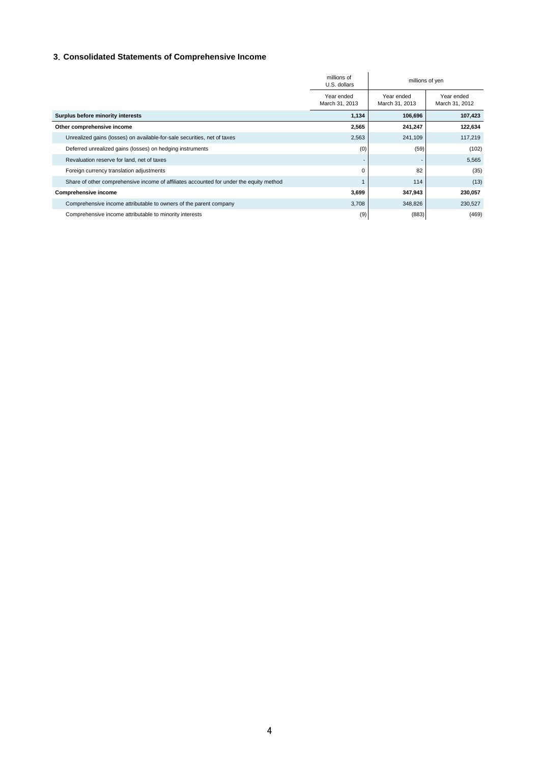# **3**.**Consolidated Statements of Comprehensive Income**

|                                                                                         | millions of<br>U.S. dollars  | millions of yen              |                              |
|-----------------------------------------------------------------------------------------|------------------------------|------------------------------|------------------------------|
|                                                                                         | Year ended<br>March 31, 2013 | Year ended<br>March 31, 2013 | Year ended<br>March 31, 2012 |
| Surplus before minority interests                                                       | 1,134                        | 106,696                      | 107,423                      |
| Other comprehensive income                                                              | 2,565                        | 241,247                      | 122,634                      |
| Unrealized gains (losses) on available-for-sale securities, net of taxes                | 2,563                        | 241,109                      | 117,219                      |
| Deferred unrealized gains (losses) on hedging instruments                               | (0)                          | (59)                         | (102)                        |
| Revaluation reserve for land, net of taxes                                              |                              |                              | 5,565                        |
| Foreign currency translation adjustments                                                | $\Omega$                     | 82                           | (35)                         |
| Share of other comprehensive income of affiliates accounted for under the equity method |                              | 114                          | (13)                         |
| Comprehensive income                                                                    | 3,699                        | 347,943                      | 230,057                      |
| Comprehensive income attributable to owners of the parent company                       | 3,708                        | 348,826                      | 230,527                      |
| Comprehensive income attributable to minority interests                                 | (9)                          | (883)                        | (469)                        |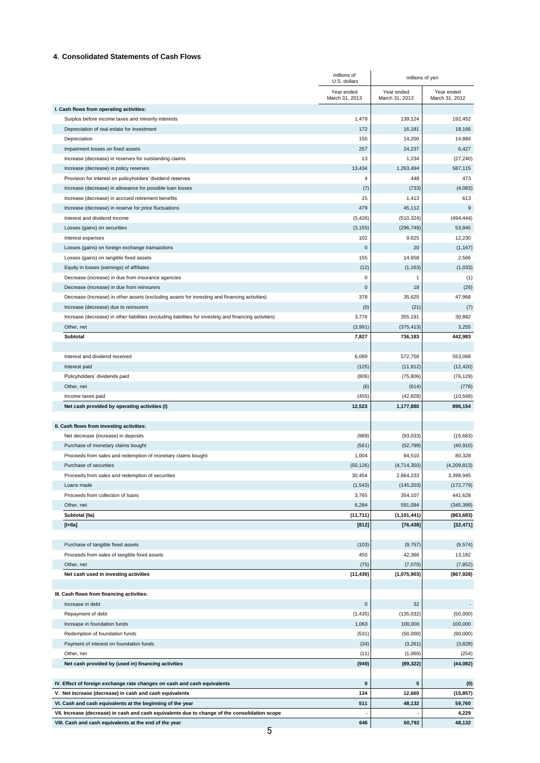#### **4**.**Consolidated Statements of Cash Flows**

|                                                                                                         | millions of<br>U.S. dollars  | millions of yen              |                              |
|---------------------------------------------------------------------------------------------------------|------------------------------|------------------------------|------------------------------|
|                                                                                                         | Year ended<br>March 31, 2013 | Year ended<br>March 31, 2013 | Year ended<br>March 31, 2012 |
| I. Cash flows from operating activities:                                                                |                              |                              |                              |
| Surplus before income taxes and minority interests                                                      | 1,479                        | 139,124                      | 192,452                      |
| Depreciation of real estate for investment<br>Depreciation                                              | 172<br>150                   | 16,181<br>14,200             | 18,166<br>14,884             |
| Impairment losses on fixed assets                                                                       | 257                          | 24,237                       | 6,427                        |
| Increase (decrease) in reserves for outstanding claims                                                  | 13                           | 1,234                        | (27, 240)                    |
| Increase (decrease) in policy reserves                                                                  | 13,434                       | 1,263,494                    | 587,115                      |
| Provision for interest on policyholders' dividend reserves                                              | 4                            | 448                          | 473                          |
| Increase (decrease) in allowance for possible loan losses                                               | (7)                          | (733)                        | (4,083)                      |
| Increase (decrease) in accrued retirement benefits                                                      | 15                           | 1,413                        | 613                          |
| Increase (decrease) in reserve for price fluctuations                                                   | 479                          | 45,112                       | $\boldsymbol{9}$             |
| Interest and dividend income                                                                            | (5, 426)                     | (510, 324)                   | (494, 444)                   |
| Losses (gains) on securities                                                                            | (3, 155)                     | (296, 749)                   | 53,945                       |
| Interest expenses                                                                                       | 102                          | 9,625                        | 12,230                       |
| Losses (gains) on foreign exchange transactions                                                         | $\mathsf 0$                  | 20                           | (1, 167)                     |
| Losses (gains) on tangible fixed assets                                                                 | 155                          | 14,658                       | 2,566                        |
| Equity in losses (earnings) of affiliates                                                               | (12)                         | (1, 163)                     | (1,033)                      |
| Decrease (increase) in due from insurance agencies                                                      | $\mathsf 0$                  | 1                            | (1)                          |
| Decrease (increase) in due from reinsurers                                                              | $\mathbf 0$                  | 18                           | (26)                         |
| Decrease (increase) in other assets (excluding assets for investing and financing activities)           | 378                          | 35,625                       | 47,968                       |
| Increase (decrease) due to reinsurers                                                                   | (0)                          | (21)                         | (7)                          |
| Increase (decrease) in other liabilities (excluding liabilities for investing and financing activities) | 3,776                        | 355,191                      | 30,882                       |
| Other, net                                                                                              | (3,991)                      | (375, 413)                   | 3,255                        |
| Subtotal                                                                                                | 7,827                        | 736,183                      | 442,983                      |
| Interest and dividend received                                                                          | 6,089                        | 572,758                      | 553,068                      |
| Interest paid                                                                                           | (125)                        | (11, 812)                    | (12, 420)                    |
| Policyholders' dividends paid                                                                           | (806)                        | (75, 806)                    | (76, 129)                    |
| Other, net                                                                                              | (6)                          | (614)                        | (778)                        |
| Income taxes paid                                                                                       | (455)                        | (42, 828)                    | (10, 568)                    |
| Net cash provided by operating activities (I)                                                           | 12,523                       | 1,177,880                    | 896,154                      |
| II. Cash flows from investing activities:                                                               |                              |                              |                              |
| Net decrease (increase) in deposits                                                                     | (989)                        | (93, 033)                    | (15,683)                     |
| Purchase of monetary claims bought                                                                      | (561)                        | (52, 799)                    | (40, 910)                    |
| Proceeds from sales and redemption of monetary claims bought                                            | 1,004                        | 94,510                       | 80,328                       |
| Purchase of securities                                                                                  | (50, 126)                    | (4,714,350)                  | (4,209,813)                  |
| Proceeds from sales and redemption of securities                                                        | 30,454                       | 2,864,233                    | 3,398,945                    |
| Loans made                                                                                              | (1, 543)                     | (145, 203)                   | (172, 779)                   |
| Proceeds from collection of loans                                                                       | 3,765                        | 354,107                      | 441,628                      |
| Other, net                                                                                              | 6,284                        | 591,094                      | (345, 399)                   |
| Subtotal (lla)                                                                                          | (11, 711)                    | (1, 101, 441)                | (863, 683)                   |
| $[I+IIa]$                                                                                               | $[812]$                      | [76, 438]                    | [32, 471]                    |
| Purchase of tangible fixed assets                                                                       | (103)                        | (9, 757)                     | (9, 574)                     |
| Proceeds from sales of tangible fixed assets                                                            | 450                          | 42,366                       | 13,182                       |
| Other, net                                                                                              | (75)                         | (7,070)                      | (7, 852)                     |
| Net cash used in investing activities                                                                   | (11, 439)                    | (1,075,903)                  | (867, 928)                   |
| III. Cash flows from financing activities:                                                              |                              |                              |                              |
| Increase in debt                                                                                        | $\mathsf{O}\xspace$          | 32                           |                              |
| Repayment of debt                                                                                       | (1, 435)                     | (135, 032)                   | (50,000)                     |
| Increase in foundation funds                                                                            | 1,063                        | 100,000                      | 100,000                      |
| Redemption of foundation funds                                                                          | (531)                        | (50,000)                     | (90,000)                     |
| Payment of interest on foundation funds                                                                 | (34)                         | (3,261)                      | (3,828)                      |
| Other, net                                                                                              | (11)                         | (1,060)                      | (254)                        |
| Net cash provided by (used in) financing activities                                                     | (949)                        | (89, 322)                    | (44, 082)                    |
| IV. Effect of foreign exchange rate changes on cash and cash equivalents                                | 0                            | 5                            |                              |
| V. Net increase (decrease) in cash and cash equivalents                                                 | 134                          | 12,660                       | (0)<br>(15, 857)             |
| VI. Cash and cash equivalents at the beginning of the year                                              | 511                          | 48,132                       | 59,760                       |
| VII. Increase (decrease) in cash and cash equivalents due to change of the consolidation scope          |                              |                              | 4,229                        |
| VIII. Cash and cash equivalents at the end of the year                                                  | 646                          | 60,792                       | 48,132                       |
|                                                                                                         |                              |                              |                              |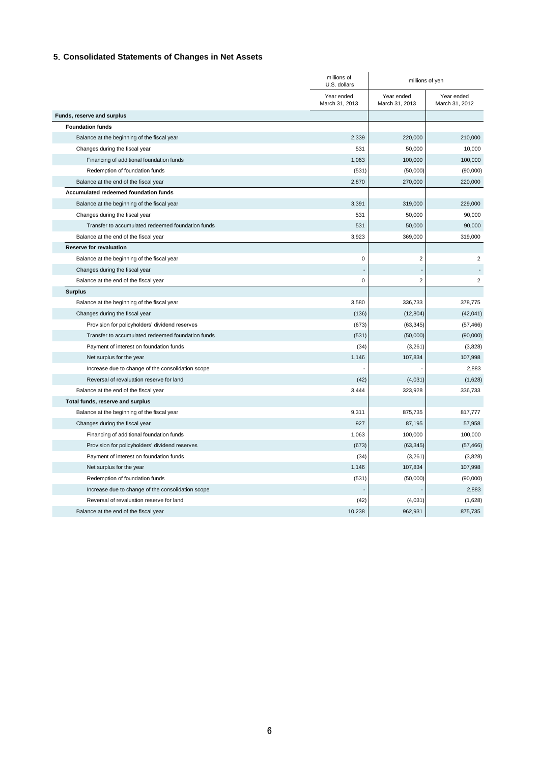# **5**.**Consolidated Statements of Changes in Net Assets**

|                                                   | millions of<br>U.S. dollars  | millions of yen              |                              |
|---------------------------------------------------|------------------------------|------------------------------|------------------------------|
|                                                   | Year ended<br>March 31, 2013 | Year ended<br>March 31, 2013 | Year ended<br>March 31, 2012 |
| Funds, reserve and surplus                        |                              |                              |                              |
| <b>Foundation funds</b>                           |                              |                              |                              |
| Balance at the beginning of the fiscal year       | 2,339                        | 220,000                      | 210,000                      |
| Changes during the fiscal year                    | 531                          | 50,000                       | 10,000                       |
| Financing of additional foundation funds          | 1,063                        | 100,000                      | 100,000                      |
| Redemption of foundation funds                    | (531)                        | (50,000)                     | (90,000)                     |
| Balance at the end of the fiscal year             | 2,870                        | 270,000                      | 220,000                      |
| Accumulated redeemed foundation funds             |                              |                              |                              |
| Balance at the beginning of the fiscal year       | 3,391                        | 319,000                      | 229,000                      |
| Changes during the fiscal year                    | 531                          | 50,000                       | 90,000                       |
| Transfer to accumulated redeemed foundation funds | 531                          | 50,000                       | 90,000                       |
| Balance at the end of the fiscal year             | 3,923                        | 369,000                      | 319,000                      |
| <b>Reserve for revaluation</b>                    |                              |                              |                              |
| Balance at the beginning of the fiscal year       | $\mathbf 0$                  | $\overline{2}$               | $\overline{2}$               |
| Changes during the fiscal year                    |                              |                              |                              |
| Balance at the end of the fiscal year             | $\mathbf 0$                  | 2                            | 2                            |
| <b>Surplus</b>                                    |                              |                              |                              |
| Balance at the beginning of the fiscal year       | 3,580                        | 336,733                      | 378,775                      |
| Changes during the fiscal year                    | (136)                        | (12, 804)                    | (42, 041)                    |
| Provision for policyholders' dividend reserves    | (673)                        | (63, 345)                    | (57, 466)                    |
| Transfer to accumulated redeemed foundation funds | (531)                        | (50,000)                     | (90,000)                     |
| Payment of interest on foundation funds           | (34)                         | (3,261)                      | (3,828)                      |
| Net surplus for the year                          | 1,146                        | 107,834                      | 107,998                      |
| Increase due to change of the consolidation scope |                              |                              | 2,883                        |
| Reversal of revaluation reserve for land          | (42)                         | (4,031)                      | (1,628)                      |
| Balance at the end of the fiscal year             | 3,444                        | 323,928                      | 336,733                      |
| Total funds, reserve and surplus                  |                              |                              |                              |
| Balance at the beginning of the fiscal year       | 9,311                        | 875,735                      | 817,777                      |
| Changes during the fiscal year                    | 927                          | 87,195                       | 57,958                       |
| Financing of additional foundation funds          | 1,063                        | 100,000                      | 100,000                      |
| Provision for policyholders' dividend reserves    | (673)                        | (63, 345)                    | (57, 466)                    |
| Payment of interest on foundation funds           | (34)                         | (3,261)                      | (3,828)                      |
| Net surplus for the year                          | 1,146                        | 107,834                      | 107,998                      |
| Redemption of foundation funds                    | (531)                        | (50,000)                     | (90,000)                     |
| Increase due to change of the consolidation scope |                              |                              | 2,883                        |
| Reversal of revaluation reserve for land          | (42)                         | (4,031)                      | (1,628)                      |
| Balance at the end of the fiscal year             | 10,238                       | 962,931                      | 875,735                      |
|                                                   |                              |                              |                              |